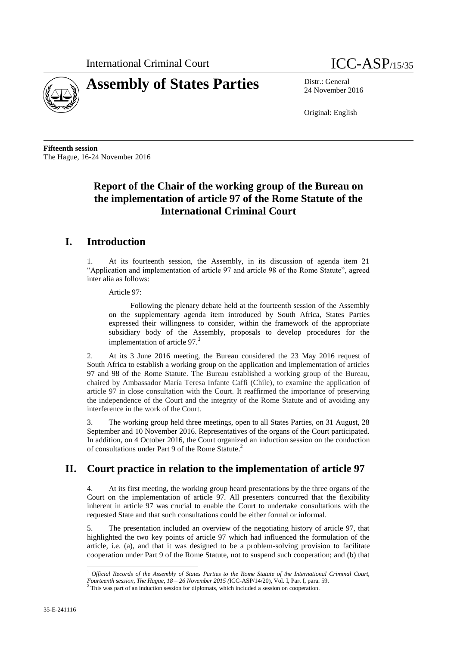



24 November 2016

Original: English

**Fifteenth session** The Hague, 16-24 November 2016

# **Report of the Chair of the working group of the Bureau on the implementation of article 97 of the Rome Statute of the International Criminal Court**

## **I. Introduction**

1. At its fourteenth session, the Assembly, in its discussion of agenda item 21 "Application and implementation of article 97 and article 98 of the Rome Statute", agreed inter alia as follows:

Article 97:

Following the plenary debate held at the fourteenth session of the Assembly on the supplementary agenda item introduced by South Africa, States Parties expressed their willingness to consider, within the framework of the appropriate subsidiary body of the Assembly, proposals to develop procedures for the implementation of article 97.<sup>1</sup>

2. At its 3 June 2016 meeting, the Bureau considered the 23 May 2016 request of South Africa to establish a working group on the application and implementation of articles 97 and 98 of the Rome Statute. The Bureau established a working group of the Bureau, chaired by Ambassador María Teresa Infante Caffi (Chile), to examine the application of article 97 in close consultation with the Court. It reaffirmed the importance of preserving the independence of the Court and the integrity of the Rome Statute and of avoiding any interference in the work of the Court.

3. The working group held three meetings, open to all States Parties, on 31 August, 28 September and 10 November 2016. Representatives of the organs of the Court participated. In addition, on 4 October 2016, the Court organized an induction session on the conduction of consultations under Part 9 of the Rome Statute.<sup>2</sup>

## **II. Court practice in relation to the implementation of article 97**

4. At its first meeting, the working group heard presentations by the three organs of the Court on the implementation of article 97. All presenters concurred that the flexibility inherent in article 97 was crucial to enable the Court to undertake consultations with the requested State and that such consultations could be either formal or informal.

5. The presentation included an overview of the negotiating history of article 97, that highlighted the two key points of article 97 which had influenced the formulation of the article, i.e. (a), and that it was designed to be a problem-solving provision to facilitate cooperation under Part 9 of the Rome Statute, not to suspend such cooperation; and (b) that

 $\overline{\phantom{a}}$ 

<sup>&</sup>lt;sup>1</sup> Official Records of the Assembly of States Parties to the Rome Statute of the International Criminal Court,

*Fourteenth session, The Hague, 18 – 26 November 2015 (*ICC-ASP/14/20), Vol. I, Part I, para. 59.

 $2$  This was part of an induction session for diplomats, which included a session on cooperation.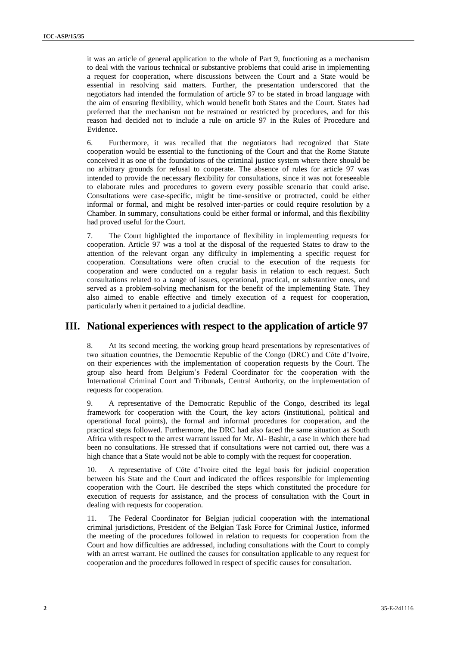it was an article of general application to the whole of Part 9, functioning as a mechanism to deal with the various technical or substantive problems that could arise in implementing a request for cooperation, where discussions between the Court and a State would be essential in resolving said matters. Further, the presentation underscored that the negotiators had intended the formulation of article 97 to be stated in broad language with the aim of ensuring flexibility, which would benefit both States and the Court. States had preferred that the mechanism not be restrained or restricted by procedures, and for this reason had decided not to include a rule on article 97 in the Rules of Procedure and Evidence.

6. Furthermore, it was recalled that the negotiators had recognized that State cooperation would be essential to the functioning of the Court and that the Rome Statute conceived it as one of the foundations of the criminal justice system where there should be no arbitrary grounds for refusal to cooperate. The absence of rules for article 97 was intended to provide the necessary flexibility for consultations, since it was not foreseeable to elaborate rules and procedures to govern every possible scenario that could arise. Consultations were case-specific, might be time-sensitive or protracted, could be either informal or formal, and might be resolved inter-parties or could require resolution by a Chamber. In summary, consultations could be either formal or informal, and this flexibility had proved useful for the Court.

7. The Court highlighted the importance of flexibility in implementing requests for cooperation. Article 97 was a tool at the disposal of the requested States to draw to the attention of the relevant organ any difficulty in implementing a specific request for cooperation. Consultations were often crucial to the execution of the requests for cooperation and were conducted on a regular basis in relation to each request. Such consultations related to a range of issues, operational, practical, or substantive ones, and served as a problem-solving mechanism for the benefit of the implementing State. They also aimed to enable effective and timely execution of a request for cooperation, particularly when it pertained to a judicial deadline.

#### **III. National experiences with respect to the application of article 97**

8. At its second meeting, the working group heard presentations by representatives of two situation countries, the Democratic Republic of the Congo (DRC) and Côte d'Ivoire, on their experiences with the implementation of cooperation requests by the Court. The group also heard from Belgium's Federal Coordinator for the cooperation with the International Criminal Court and Tribunals, Central Authority, on the implementation of requests for cooperation.

9. A representative of the Democratic Republic of the Congo, described its legal framework for cooperation with the Court, the key actors (institutional, political and operational focal points), the formal and informal procedures for cooperation, and the practical steps followed. Furthermore, the DRC had also faced the same situation as South Africa with respect to the arrest warrant issued for Mr. Al- Bashir, a case in which there had been no consultations. He stressed that if consultations were not carried out, there was a high chance that a State would not be able to comply with the request for cooperation.

10. A representative of Côte d'Ivoire cited the legal basis for judicial cooperation between his State and the Court and indicated the offices responsible for implementing cooperation with the Court. He described the steps which constituted the procedure for execution of requests for assistance, and the process of consultation with the Court in dealing with requests for cooperation.

11. The Federal Coordinator for Belgian judicial cooperation with the international criminal jurisdictions, President of the Belgian Task Force for Criminal Justice, informed the meeting of the procedures followed in relation to requests for cooperation from the Court and how difficulties are addressed, including consultations with the Court to comply with an arrest warrant. He outlined the causes for consultation applicable to any request for cooperation and the procedures followed in respect of specific causes for consultation.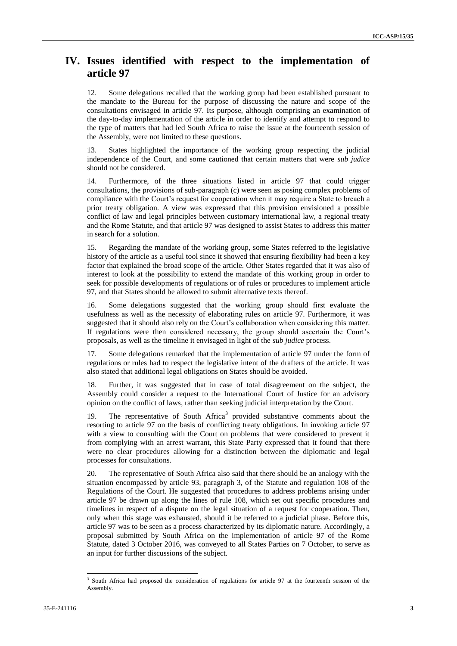## **IV. Issues identified with respect to the implementation of article 97**

12. Some delegations recalled that the working group had been established pursuant to the mandate to the Bureau for the purpose of discussing the nature and scope of the consultations envisaged in article 97. Its purpose, although comprising an examination of the day-to-day implementation of the article in order to identify and attempt to respond to the type of matters that had led South Africa to raise the issue at the fourteenth session of the Assembly, were not limited to these questions.

13. States highlighted the importance of the working group respecting the judicial independence of the Court, and some cautioned that certain matters that were *sub judice*  should not be considered.

14. Furthermore, of the three situations listed in article 97 that could trigger consultations, the provisions of sub-paragraph (c) were seen as posing complex problems of compliance with the Court's request for cooperation when it may require a State to breach a prior treaty obligation. A view was expressed that this provision envisioned a possible conflict of law and legal principles between customary international law, a regional treaty and the Rome Statute, and that article 97 was designed to assist States to address this matter in search for a solution.

15. Regarding the mandate of the working group, some States referred to the legislative history of the article as a useful tool since it showed that ensuring flexibility had been a key factor that explained the broad scope of the article. Other States regarded that it was also of interest to look at the possibility to extend the mandate of this working group in order to seek for possible developments of regulations or of rules or procedures to implement article 97, and that States should be allowed to submit alternative texts thereof.

16. Some delegations suggested that the working group should first evaluate the usefulness as well as the necessity of elaborating rules on article 97. Furthermore, it was suggested that it should also rely on the Court's collaboration when considering this matter. If regulations were then considered necessary, the group should ascertain the Court's proposals, as well as the timeline it envisaged in light of the *sub judice* process.

17. Some delegations remarked that the implementation of article 97 under the form of regulations or rules had to respect the legislative intent of the drafters of the article. It was also stated that additional legal obligations on States should be avoided.

18. Further, it was suggested that in case of total disagreement on the subject, the Assembly could consider a request to the International Court of Justice for an advisory opinion on the conflict of laws, rather than seeking judicial interpretation by the Court.

19. The representative of South  $A$ frica<sup>3</sup> provided substantive comments about the resorting to article 97 on the basis of conflicting treaty obligations. In invoking article 97 with a view to consulting with the Court on problems that were considered to prevent it from complying with an arrest warrant, this State Party expressed that it found that there were no clear procedures allowing for a distinction between the diplomatic and legal processes for consultations.

20. The representative of South Africa also said that there should be an analogy with the situation encompassed by article 93, paragraph 3, of the Statute and regulation 108 of the Regulations of the Court. He suggested that procedures to address problems arising under article 97 be drawn up along the lines of rule 108, which set out specific procedures and timelines in respect of a dispute on the legal situation of a request for cooperation. Then, only when this stage was exhausted, should it be referred to a judicial phase. Before this, article 97 was to be seen as a process characterized by its diplomatic nature. Accordingly, a proposal submitted by South Africa on the implementation of article 97 of the Rome Statute, dated 3 October 2016, was conveyed to all States Parties on 7 October, to serve as an input for further discussions of the subject.

 $\overline{a}$ 

<sup>3</sup> South Africa had proposed the consideration of regulations for article 97 at the fourteenth session of the Assembly.